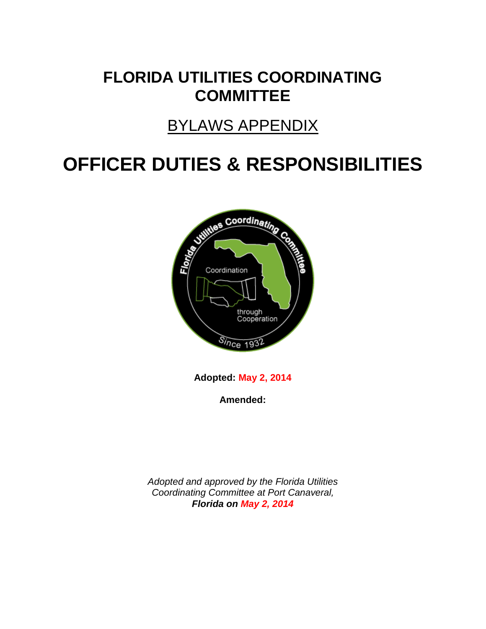# **FLORIDA UTILITIES COORDINATING COMMITTEE**

# BYLAWS APPENDIX

# **OFFICER DUTIES & RESPONSIBILITIES**



**Adopted: May 2, 2014**

**Amended:**

*Adopted and approved by the Florida Utilities Coordinating Committee at Port Canaveral, Florida on May 2, 2014*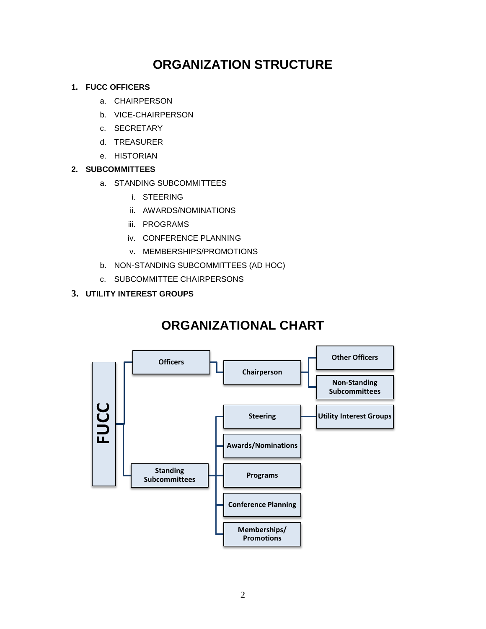### **ORGANIZATION STRUCTURE**

#### **1. FUCC OFFICERS**

- a. CHAIRPERSON
- b. VICE-CHAIRPERSON
- c. SECRETARY
- d. TREASURER
- e. HISTORIAN

#### **2. SUBCOMMITTEES**

- a. STANDING SUBCOMMITTEES
	- i. STEERING
	- ii. AWARDS/NOMINATIONS
	- iii. PROGRAMS
	- iv. CONFERENCE PLANNING
	- v. MEMBERSHIPS/PROMOTIONS
- b. NON-STANDING SUBCOMMITTEES (AD HOC)
- c. SUBCOMMITTEE CHAIRPERSONS

#### **3. UTILITY INTEREST GROUPS**

### **ORGANIZATIONAL CHART**

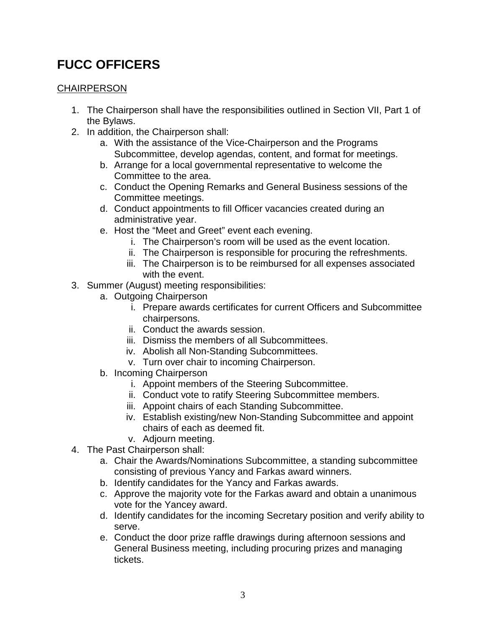### **FUCC OFFICERS**

#### **CHAIRPERSON**

- 1. The Chairperson shall have the responsibilities outlined in Section VII, Part 1 of the Bylaws.
- 2. In addition, the Chairperson shall:
	- a. With the assistance of the Vice-Chairperson and the Programs Subcommittee, develop agendas, content, and format for meetings.
	- b. Arrange for a local governmental representative to welcome the Committee to the area.
	- c. Conduct the Opening Remarks and General Business sessions of the Committee meetings.
	- d. Conduct appointments to fill Officer vacancies created during an administrative year.
	- e. Host the "Meet and Greet" event each evening.
		- i. The Chairperson's room will be used as the event location.
		- ii. The Chairperson is responsible for procuring the refreshments.
		- iii. The Chairperson is to be reimbursed for all expenses associated with the event.
- 3. Summer (August) meeting responsibilities:
	- a. Outgoing Chairperson
		- i. Prepare awards certificates for current Officers and Subcommittee chairpersons.
		- ii. Conduct the awards session.
		- iii. Dismiss the members of all Subcommittees.
		- iv. Abolish all Non-Standing Subcommittees.
		- v. Turn over chair to incoming Chairperson.
	- b. Incoming Chairperson
		- i. Appoint members of the Steering Subcommittee.
		- ii. Conduct vote to ratify Steering Subcommittee members.
		- iii. Appoint chairs of each Standing Subcommittee.
		- iv. Establish existing/new Non-Standing Subcommittee and appoint chairs of each as deemed fit.
		- v. Adjourn meeting.
- 4. The Past Chairperson shall:
	- a. Chair the Awards/Nominations Subcommittee, a standing subcommittee consisting of previous Yancy and Farkas award winners.
	- b. Identify candidates for the Yancy and Farkas awards.
	- c. Approve the majority vote for the Farkas award and obtain a unanimous vote for the Yancey award.
	- d. Identify candidates for the incoming Secretary position and verify ability to serve.
	- e. Conduct the door prize raffle drawings during afternoon sessions and General Business meeting, including procuring prizes and managing tickets.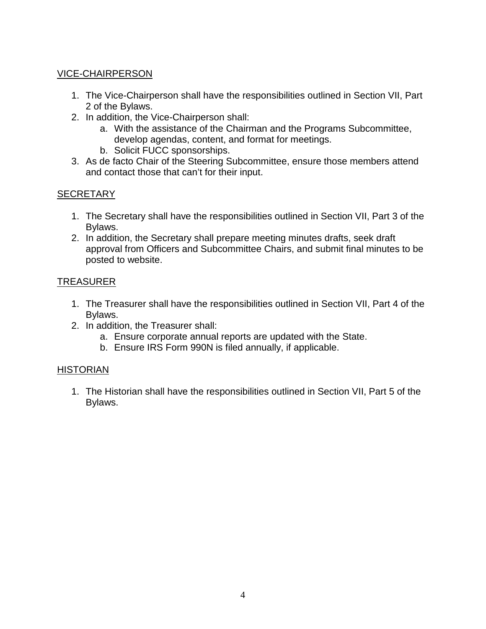#### VICE-CHAIRPERSON

- 1. The Vice-Chairperson shall have the responsibilities outlined in Section VII, Part 2 of the Bylaws.
- 2. In addition, the Vice-Chairperson shall:
	- a. With the assistance of the Chairman and the Programs Subcommittee, develop agendas, content, and format for meetings.
	- b. Solicit FUCC sponsorships.
- 3. As de facto Chair of the Steering Subcommittee, ensure those members attend and contact those that can't for their input.

#### **SECRETARY**

- 1. The Secretary shall have the responsibilities outlined in Section VII, Part 3 of the Bylaws.
- 2. In addition, the Secretary shall prepare meeting minutes drafts, seek draft approval from Officers and Subcommittee Chairs, and submit final minutes to be posted to website.

#### TREASURER

- 1. The Treasurer shall have the responsibilities outlined in Section VII, Part 4 of the Bylaws.
- 2. In addition, the Treasurer shall:
	- a. Ensure corporate annual reports are updated with the State.
	- b. Ensure IRS Form 990N is filed annually, if applicable.

#### **HISTORIAN**

1. The Historian shall have the responsibilities outlined in Section VII, Part 5 of the Bylaws.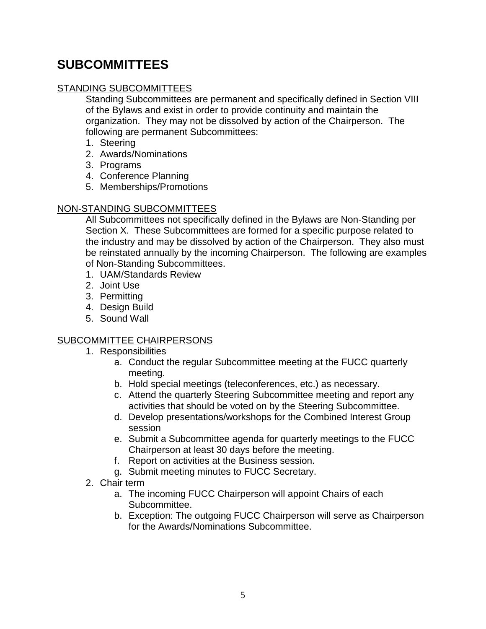### **SUBCOMMITTEES**

#### STANDING SUBCOMMITTEES

Standing Subcommittees are permanent and specifically defined in Section VIII of the Bylaws and exist in order to provide continuity and maintain the organization. They may not be dissolved by action of the Chairperson. The following are permanent Subcommittees:

- 1. Steering
- 2. Awards/Nominations
- 3. Programs
- 4. Conference Planning
- 5. Memberships/Promotions

#### NON-STANDING SUBCOMMITTEES

All Subcommittees not specifically defined in the Bylaws are Non-Standing per Section X. These Subcommittees are formed for a specific purpose related to the industry and may be dissolved by action of the Chairperson. They also must be reinstated annually by the incoming Chairperson. The following are examples of Non-Standing Subcommittees.

- 1. UAM/Standards Review
- 2. Joint Use
- 3. Permitting
- 4. Design Build
- 5. Sound Wall

#### SUBCOMMITTEE CHAIRPERSONS

- 1. Responsibilities
	- a. Conduct the regular Subcommittee meeting at the FUCC quarterly meeting.
	- b. Hold special meetings (teleconferences, etc.) as necessary.
	- c. Attend the quarterly Steering Subcommittee meeting and report any activities that should be voted on by the Steering Subcommittee.
	- d. Develop presentations/workshops for the Combined Interest Group session
	- e. Submit a Subcommittee agenda for quarterly meetings to the FUCC Chairperson at least 30 days before the meeting.
	- f. Report on activities at the Business session.
	- g. Submit meeting minutes to FUCC Secretary.
- 2. Chair term
	- a. The incoming FUCC Chairperson will appoint Chairs of each Subcommittee.
	- b. Exception: The outgoing FUCC Chairperson will serve as Chairperson for the Awards/Nominations Subcommittee.